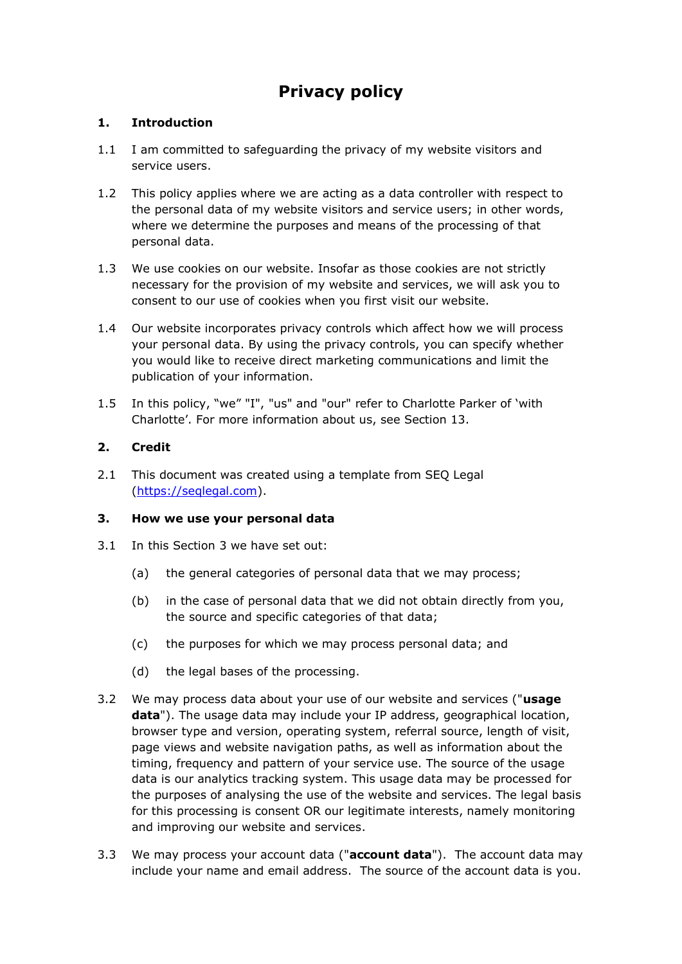# **Privacy policy**

# **1. Introduction**

- 1.1 I am committed to safeguarding the privacy of my website visitors and service users.
- 1.2 This policy applies where we are acting as a data controller with respect to the personal data of my website visitors and service users; in other words, where we determine the purposes and means of the processing of that personal data.
- 1.3 We use cookies on our website. Insofar as those cookies are not strictly necessary for the provision of my website and services, we will ask you to consent to our use of cookies when you first visit our website.
- 1.4 Our website incorporates privacy controls which affect how we will process your personal data. By using the privacy controls, you can specify whether you would like to receive direct marketing communications and limit the publication of your information.
- 1.5 In this policy, "we" "I", "us" and "our" refer to Charlotte Parker of 'with Charlotte'. For more information about us, see Section 13.

# **2. Credit**

2.1 This document was created using a template from SEQ Legal [\(https://seqlegal.com\)](https://seqlegal.com/).

# **3. How we use your personal data**

- 3.1 In this Section 3 we have set out:
	- (a) the general categories of personal data that we may process;
	- (b) in the case of personal data that we did not obtain directly from you, the source and specific categories of that data;
	- (c) the purposes for which we may process personal data; and
	- (d) the legal bases of the processing.
- 3.2 We may process data about your use of our website and services ("**usage data**"). The usage data may include your IP address, geographical location, browser type and version, operating system, referral source, length of visit, page views and website navigation paths, as well as information about the timing, frequency and pattern of your service use. The source of the usage data is our analytics tracking system. This usage data may be processed for the purposes of analysing the use of the website and services. The legal basis for this processing is consent OR our legitimate interests, namely monitoring and improving our website and services.
- 3.3 We may process your account data ("**account data**"). The account data may include your name and email address. The source of the account data is you.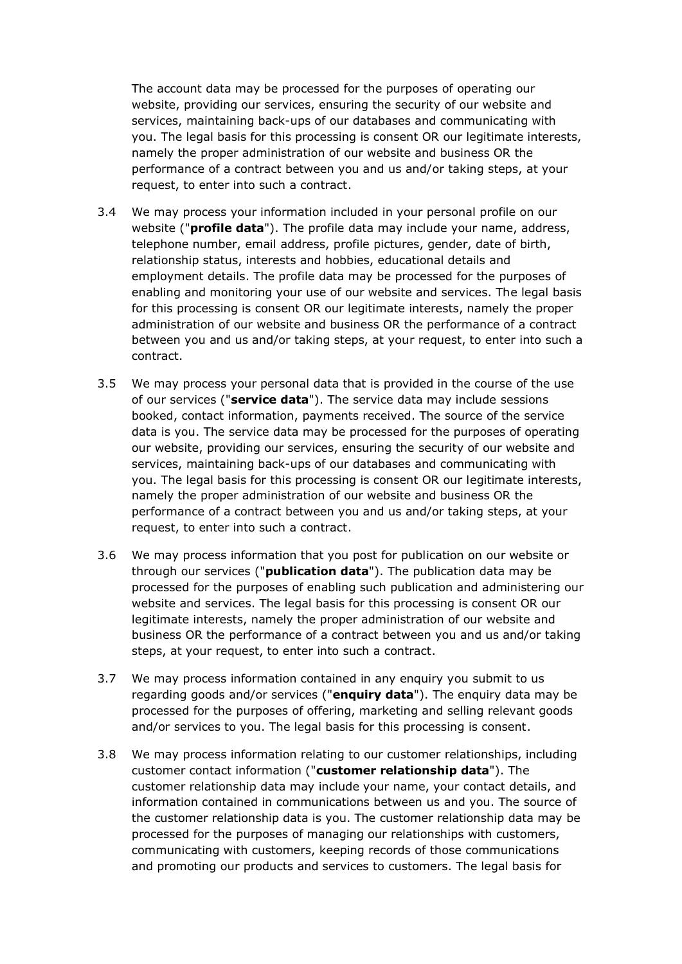The account data may be processed for the purposes of operating our website, providing our services, ensuring the security of our website and services, maintaining back-ups of our databases and communicating with you. The legal basis for this processing is consent OR our legitimate interests, namely the proper administration of our website and business OR the performance of a contract between you and us and/or taking steps, at your request, to enter into such a contract.

- 3.4 We may process your information included in your personal profile on our website ("**profile data**"). The profile data may include your name, address, telephone number, email address, profile pictures, gender, date of birth, relationship status, interests and hobbies, educational details and employment details. The profile data may be processed for the purposes of enabling and monitoring your use of our website and services. The legal basis for this processing is consent OR our legitimate interests, namely the proper administration of our website and business OR the performance of a contract between you and us and/or taking steps, at your request, to enter into such a contract.
- 3.5 We may process your personal data that is provided in the course of the use of our services ("**service data**"). The service data may include sessions booked, contact information, payments received. The source of the service data is you. The service data may be processed for the purposes of operating our website, providing our services, ensuring the security of our website and services, maintaining back-ups of our databases and communicating with you. The legal basis for this processing is consent OR our legitimate interests, namely the proper administration of our website and business OR the performance of a contract between you and us and/or taking steps, at your request, to enter into such a contract.
- 3.6 We may process information that you post for publication on our website or through our services ("**publication data**"). The publication data may be processed for the purposes of enabling such publication and administering our website and services. The legal basis for this processing is consent OR our legitimate interests, namely the proper administration of our website and business OR the performance of a contract between you and us and/or taking steps, at your request, to enter into such a contract.
- 3.7 We may process information contained in any enquiry you submit to us regarding goods and/or services ("**enquiry data**"). The enquiry data may be processed for the purposes of offering, marketing and selling relevant goods and/or services to you. The legal basis for this processing is consent.
- 3.8 We may process information relating to our customer relationships, including customer contact information ("**customer relationship data**"). The customer relationship data may include your name, your contact details, and information contained in communications between us and you. The source of the customer relationship data is you. The customer relationship data may be processed for the purposes of managing our relationships with customers, communicating with customers, keeping records of those communications and promoting our products and services to customers. The legal basis for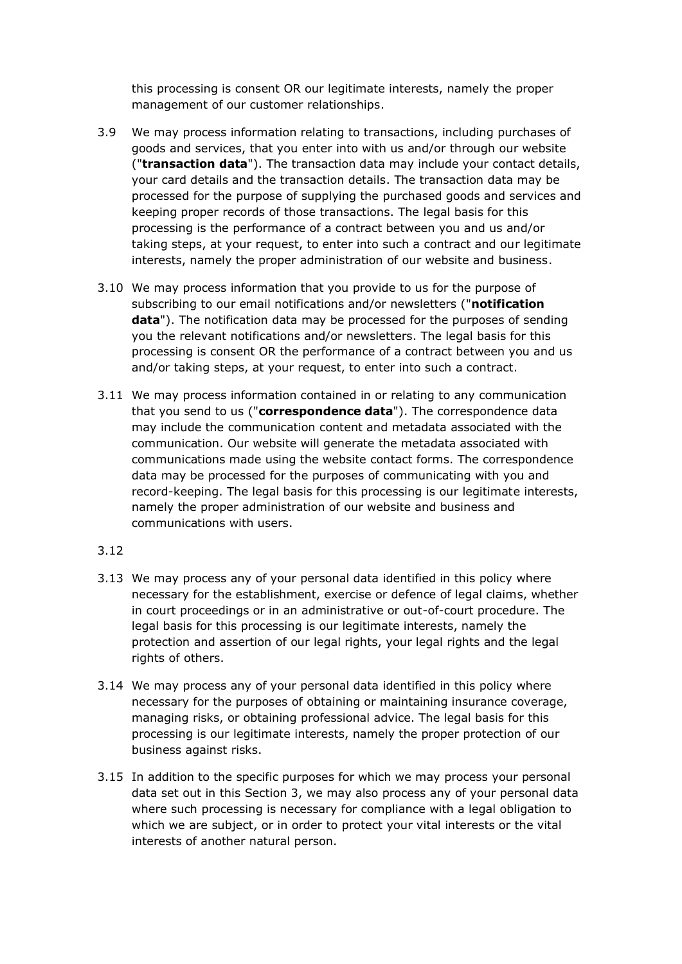this processing is consent OR our legitimate interests, namely the proper management of our customer relationships.

- 3.9 We may process information relating to transactions, including purchases of goods and services, that you enter into with us and/or through our website ("**transaction data**"). The transaction data may include your contact details, your card details and the transaction details. The transaction data may be processed for the purpose of supplying the purchased goods and services and keeping proper records of those transactions. The legal basis for this processing is the performance of a contract between you and us and/or taking steps, at your request, to enter into such a contract and our legitimate interests, namely the proper administration of our website and business.
- 3.10 We may process information that you provide to us for the purpose of subscribing to our email notifications and/or newsletters ("**notification data**"). The notification data may be processed for the purposes of sending you the relevant notifications and/or newsletters. The legal basis for this processing is consent OR the performance of a contract between you and us and/or taking steps, at your request, to enter into such a contract.
- 3.11 We may process information contained in or relating to any communication that you send to us ("**correspondence data**"). The correspondence data may include the communication content and metadata associated with the communication. Our website will generate the metadata associated with communications made using the website contact forms. The correspondence data may be processed for the purposes of communicating with you and record-keeping. The legal basis for this processing is our legitimate interests, namely the proper administration of our website and business and communications with users.

# 3.12

- 3.13 We may process any of your personal data identified in this policy where necessary for the establishment, exercise or defence of legal claims, whether in court proceedings or in an administrative or out-of-court procedure. The legal basis for this processing is our legitimate interests, namely the protection and assertion of our legal rights, your legal rights and the legal rights of others.
- 3.14 We may process any of your personal data identified in this policy where necessary for the purposes of obtaining or maintaining insurance coverage, managing risks, or obtaining professional advice. The legal basis for this processing is our legitimate interests, namely the proper protection of our business against risks.
- 3.15 In addition to the specific purposes for which we may process your personal data set out in this Section 3, we may also process any of your personal data where such processing is necessary for compliance with a legal obligation to which we are subject, or in order to protect your vital interests or the vital interests of another natural person.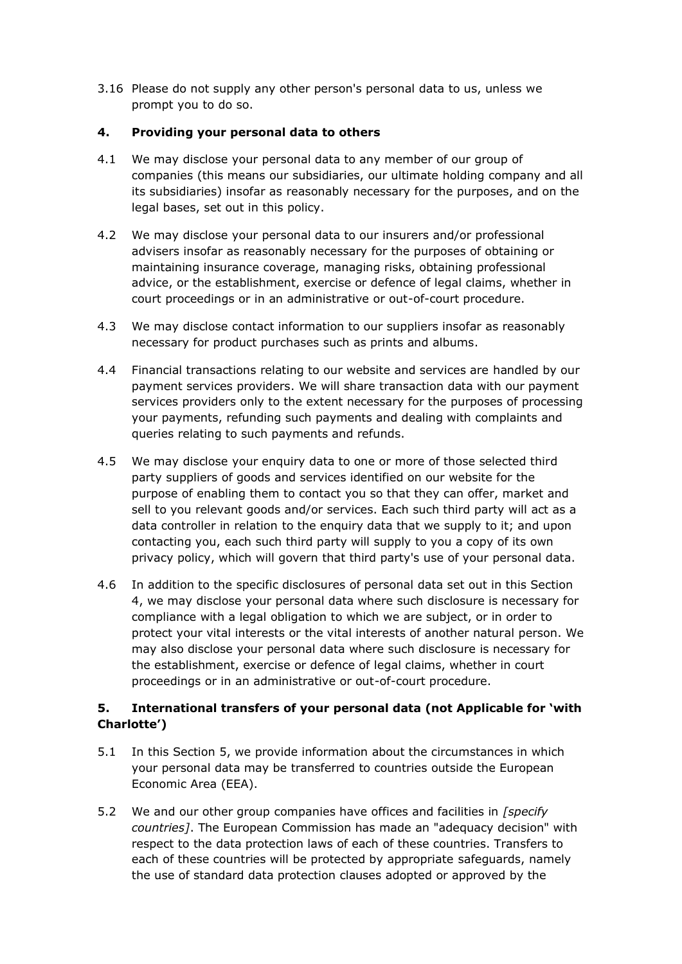3.16 Please do not supply any other person's personal data to us, unless we prompt you to do so.

# **4. Providing your personal data to others**

- 4.1 We may disclose your personal data to any member of our group of companies (this means our subsidiaries, our ultimate holding company and all its subsidiaries) insofar as reasonably necessary for the purposes, and on the legal bases, set out in this policy.
- 4.2 We may disclose your personal data to our insurers and/or professional advisers insofar as reasonably necessary for the purposes of obtaining or maintaining insurance coverage, managing risks, obtaining professional advice, or the establishment, exercise or defence of legal claims, whether in court proceedings or in an administrative or out-of-court procedure.
- 4.3 We may disclose contact information to our suppliers insofar as reasonably necessary for product purchases such as prints and albums.
- 4.4 Financial transactions relating to our website and services are handled by our payment services providers. We will share transaction data with our payment services providers only to the extent necessary for the purposes of processing your payments, refunding such payments and dealing with complaints and queries relating to such payments and refunds.
- 4.5 We may disclose your enquiry data to one or more of those selected third party suppliers of goods and services identified on our website for the purpose of enabling them to contact you so that they can offer, market and sell to you relevant goods and/or services. Each such third party will act as a data controller in relation to the enquiry data that we supply to it; and upon contacting you, each such third party will supply to you a copy of its own privacy policy, which will govern that third party's use of your personal data.
- 4.6 In addition to the specific disclosures of personal data set out in this Section 4, we may disclose your personal data where such disclosure is necessary for compliance with a legal obligation to which we are subject, or in order to protect your vital interests or the vital interests of another natural person. We may also disclose your personal data where such disclosure is necessary for the establishment, exercise or defence of legal claims, whether in court proceedings or in an administrative or out-of-court procedure.

# **5. International transfers of your personal data (not Applicable for 'with Charlotte')**

- 5.1 In this Section 5, we provide information about the circumstances in which your personal data may be transferred to countries outside the European Economic Area (EEA).
- 5.2 We and our other group companies have offices and facilities in *[specify countries]*. The European Commission has made an "adequacy decision" with respect to the data protection laws of each of these countries. Transfers to each of these countries will be protected by appropriate safeguards, namely the use of standard data protection clauses adopted or approved by the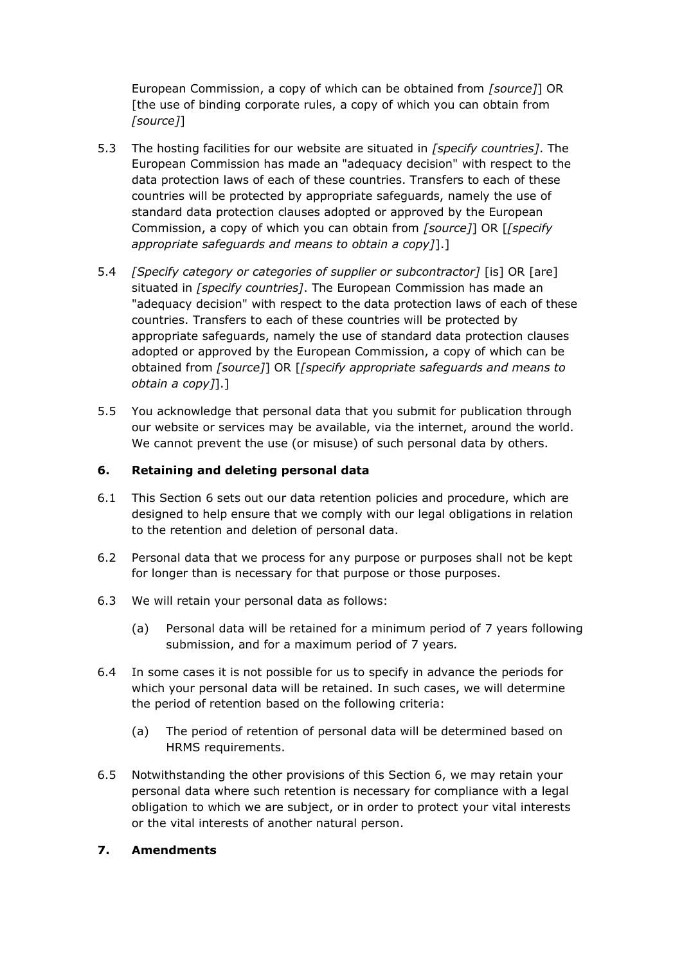European Commission, a copy of which can be obtained from *[source]*] OR [the use of binding corporate rules, a copy of which you can obtain from *[source]*]

- 5.3 The hosting facilities for our website are situated in *[specify countries]*. The European Commission has made an "adequacy decision" with respect to the data protection laws of each of these countries. Transfers to each of these countries will be protected by appropriate safeguards, namely the use of standard data protection clauses adopted or approved by the European Commission, a copy of which you can obtain from *[source]*] OR [*[specify appropriate safeguards and means to obtain a copy]*].]
- 5.4 *[Specify category or categories of supplier or subcontractor]* [is] OR [are] situated in *[specify countries]*. The European Commission has made an "adequacy decision" with respect to the data protection laws of each of these countries. Transfers to each of these countries will be protected by appropriate safeguards, namely the use of standard data protection clauses adopted or approved by the European Commission, a copy of which can be obtained from *[source]*] OR [*[specify appropriate safeguards and means to obtain a copy]*].]
- 5.5 You acknowledge that personal data that you submit for publication through our website or services may be available, via the internet, around the world. We cannot prevent the use (or misuse) of such personal data by others.

# **6. Retaining and deleting personal data**

- 6.1 This Section 6 sets out our data retention policies and procedure, which are designed to help ensure that we comply with our legal obligations in relation to the retention and deletion of personal data.
- 6.2 Personal data that we process for any purpose or purposes shall not be kept for longer than is necessary for that purpose or those purposes.
- 6.3 We will retain your personal data as follows:
	- (a) Personal data will be retained for a minimum period of 7 years following submission, and for a maximum period of 7 years*.*
- 6.4 In some cases it is not possible for us to specify in advance the periods for which your personal data will be retained. In such cases, we will determine the period of retention based on the following criteria:
	- (a) The period of retention of personal data will be determined based on HRMS requirements.
- 6.5 Notwithstanding the other provisions of this Section 6, we may retain your personal data where such retention is necessary for compliance with a legal obligation to which we are subject, or in order to protect your vital interests or the vital interests of another natural person.

#### **7. Amendments**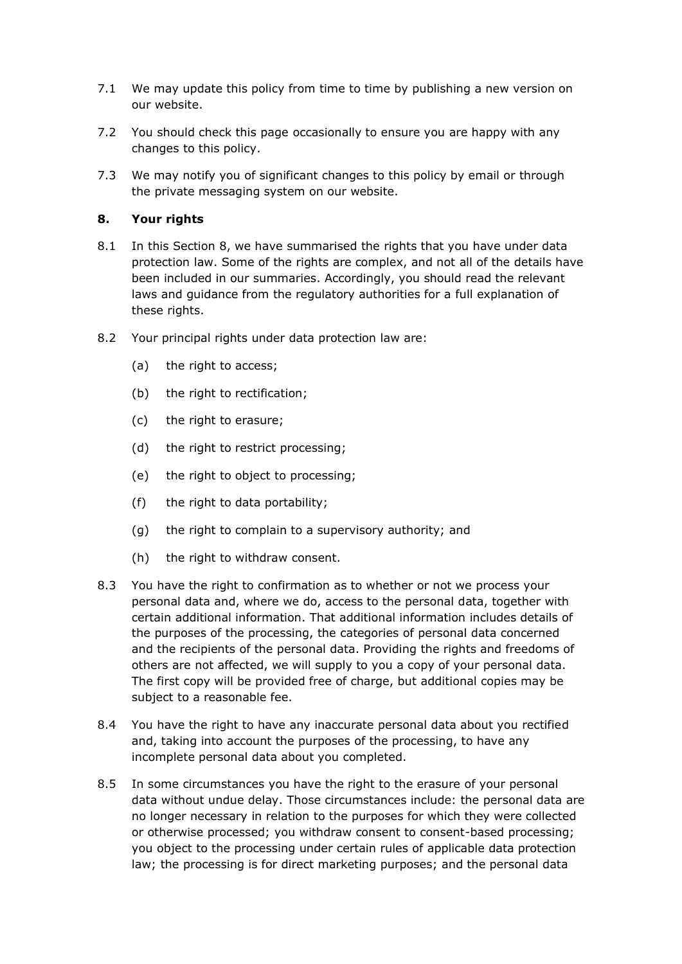- 7.1 We may update this policy from time to time by publishing a new version on our website.
- 7.2 You should check this page occasionally to ensure you are happy with any changes to this policy.
- 7.3 We may notify you of significant changes to this policy by email or through the private messaging system on our website.

# **8. Your rights**

- 8.1 In this Section 8, we have summarised the rights that you have under data protection law. Some of the rights are complex, and not all of the details have been included in our summaries. Accordingly, you should read the relevant laws and guidance from the regulatory authorities for a full explanation of these rights.
- 8.2 Your principal rights under data protection law are:
	- (a) the right to access;
	- (b) the right to rectification;
	- (c) the right to erasure;
	- (d) the right to restrict processing;
	- (e) the right to object to processing;
	- (f) the right to data portability;
	- (g) the right to complain to a supervisory authority; and
	- (h) the right to withdraw consent.
- 8.3 You have the right to confirmation as to whether or not we process your personal data and, where we do, access to the personal data, together with certain additional information. That additional information includes details of the purposes of the processing, the categories of personal data concerned and the recipients of the personal data. Providing the rights and freedoms of others are not affected, we will supply to you a copy of your personal data. The first copy will be provided free of charge, but additional copies may be subject to a reasonable fee.
- 8.4 You have the right to have any inaccurate personal data about you rectified and, taking into account the purposes of the processing, to have any incomplete personal data about you completed.
- 8.5 In some circumstances you have the right to the erasure of your personal data without undue delay. Those circumstances include: the personal data are no longer necessary in relation to the purposes for which they were collected or otherwise processed; you withdraw consent to consent-based processing; you object to the processing under certain rules of applicable data protection law; the processing is for direct marketing purposes; and the personal data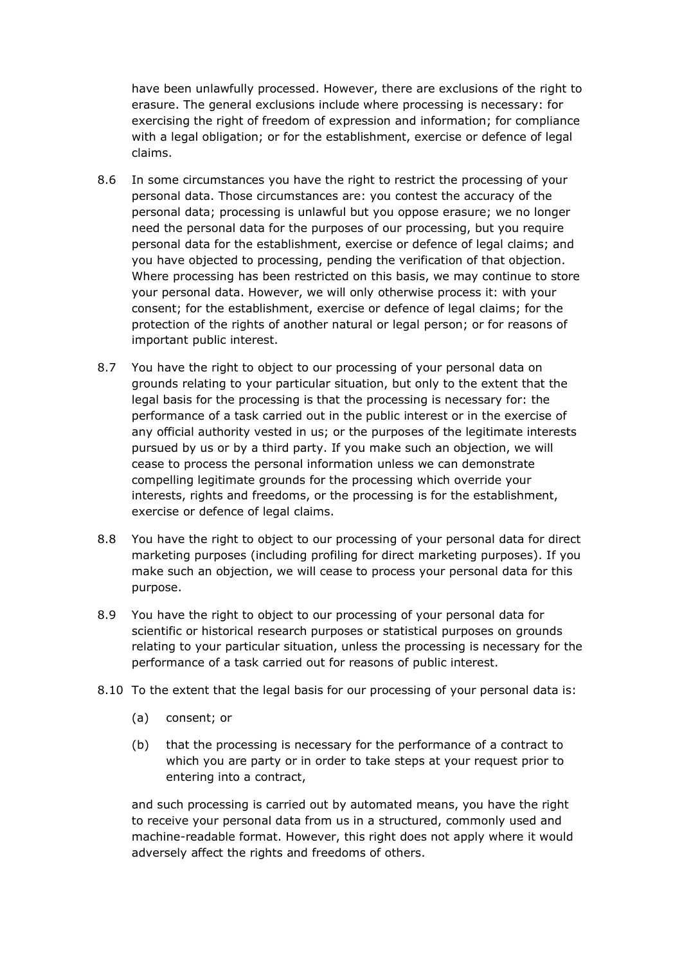have been unlawfully processed. However, there are exclusions of the right to erasure. The general exclusions include where processing is necessary: for exercising the right of freedom of expression and information; for compliance with a legal obligation; or for the establishment, exercise or defence of legal claims.

- 8.6 In some circumstances you have the right to restrict the processing of your personal data. Those circumstances are: you contest the accuracy of the personal data; processing is unlawful but you oppose erasure; we no longer need the personal data for the purposes of our processing, but you require personal data for the establishment, exercise or defence of legal claims; and you have objected to processing, pending the verification of that objection. Where processing has been restricted on this basis, we may continue to store your personal data. However, we will only otherwise process it: with your consent; for the establishment, exercise or defence of legal claims; for the protection of the rights of another natural or legal person; or for reasons of important public interest.
- 8.7 You have the right to object to our processing of your personal data on grounds relating to your particular situation, but only to the extent that the legal basis for the processing is that the processing is necessary for: the performance of a task carried out in the public interest or in the exercise of any official authority vested in us; or the purposes of the legitimate interests pursued by us or by a third party. If you make such an objection, we will cease to process the personal information unless we can demonstrate compelling legitimate grounds for the processing which override your interests, rights and freedoms, or the processing is for the establishment, exercise or defence of legal claims.
- 8.8 You have the right to object to our processing of your personal data for direct marketing purposes (including profiling for direct marketing purposes). If you make such an objection, we will cease to process your personal data for this purpose.
- 8.9 You have the right to object to our processing of your personal data for scientific or historical research purposes or statistical purposes on grounds relating to your particular situation, unless the processing is necessary for the performance of a task carried out for reasons of public interest.
- 8.10 To the extent that the legal basis for our processing of your personal data is:
	- (a) consent; or
	- (b) that the processing is necessary for the performance of a contract to which you are party or in order to take steps at your request prior to entering into a contract,

and such processing is carried out by automated means, you have the right to receive your personal data from us in a structured, commonly used and machine-readable format. However, this right does not apply where it would adversely affect the rights and freedoms of others.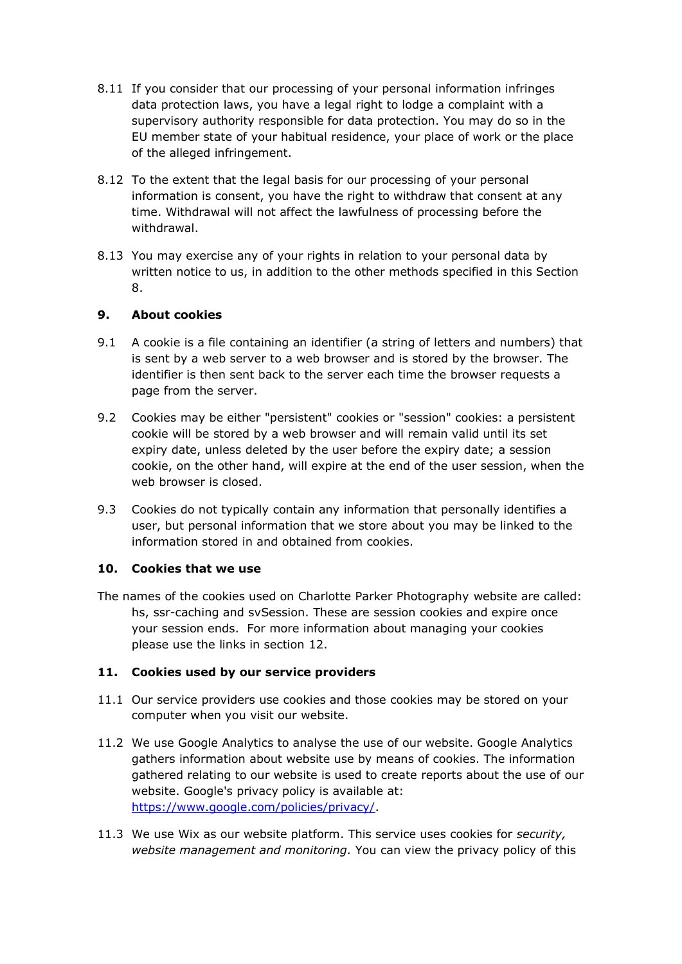- 8.11 If you consider that our processing of your personal information infringes data protection laws, you have a legal right to lodge a complaint with a supervisory authority responsible for data protection. You may do so in the EU member state of your habitual residence, your place of work or the place of the alleged infringement.
- 8.12 To the extent that the legal basis for our processing of your personal information is consent, you have the right to withdraw that consent at any time. Withdrawal will not affect the lawfulness of processing before the withdrawal.
- 8.13 You may exercise any of your rights in relation to your personal data by written notice to us, in addition to the other methods specified in this Section 8.

# **9. About cookies**

- 9.1 A cookie is a file containing an identifier (a string of letters and numbers) that is sent by a web server to a web browser and is stored by the browser. The identifier is then sent back to the server each time the browser requests a page from the server.
- 9.2 Cookies may be either "persistent" cookies or "session" cookies: a persistent cookie will be stored by a web browser and will remain valid until its set expiry date, unless deleted by the user before the expiry date; a session cookie, on the other hand, will expire at the end of the user session, when the web browser is closed.
- 9.3 Cookies do not typically contain any information that personally identifies a user, but personal information that we store about you may be linked to the information stored in and obtained from cookies.

# **10. Cookies that we use**

The names of the cookies used on Charlotte Parker Photography website are called: hs, ssr-caching and svSession. These are session cookies and expire once your session ends. For more information about managing your cookies please use the links in section 12.

# **11. Cookies used by our service providers**

- 11.1 Our service providers use cookies and those cookies may be stored on your computer when you visit our website.
- 11.2 We use Google Analytics to analyse the use of our website. Google Analytics gathers information about website use by means of cookies. The information gathered relating to our website is used to create reports about the use of our website. Google's privacy policy is available at: [https://www.google.com/policies/privacy/.](https://www.google.com/policies/privacy/)
- 11.3 We use Wix as our website platform. This service uses cookies for *security, website management and monitoring.* You can view the privacy policy of this